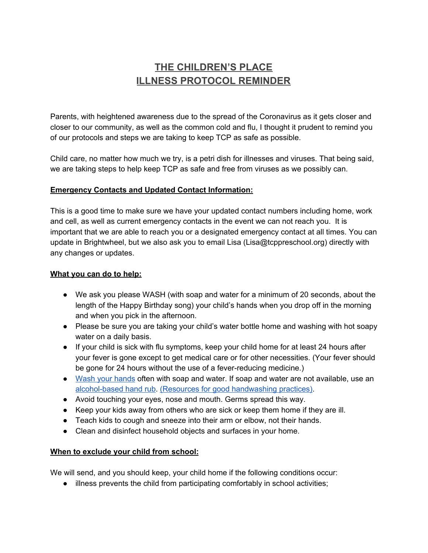# **THE CHILDREN'S PLACE ILLNESS PROTOCOL REMINDER**

Parents, with heightened awareness due to the spread of the Coronavirus as it gets closer and closer to our community, as well as the common cold and flu, I thought it prudent to remind you of our protocols and steps we are taking to keep TCP as safe as possible.

Child care, no matter how much we try, is a petri dish for illnesses and viruses. That being said, we are taking steps to help keep TCP as safe and free from viruses as we possibly can.

## **Emergency Contacts and Updated Contact Information:**

This is a good time to make sure we have your updated contact numbers including home, work and cell, as well as current emergency contacts in the event we can not reach you. It is important that we are able to reach you or a designated emergency contact at all times. You can update in Brightwheel, but we also ask you to email Lisa (Lisa@tcppreschool.org) directly with any changes or updates.

#### **What you can do to help:**

- We ask you please WASH (with soap and water for a minimum of 20 seconds, about the length of the Happy Birthday song) your child's hands when you drop off in the morning and when you pick in the afternoon.
- Please be sure you are taking your child's water bottle home and washing with hot soapy water on a daily basis.
- If your child is sick with flu symptoms, keep your child home for at least 24 hours after your fever is gone except to get medical care or for other necessities. (Your fever should be gone for 24 hours without the use of a fever-reducing medicine.)
- Wash your [hands](https://www.cdc.gov/handwashing/) often with soap and water. If soap and water are not available, use an [alcohol-based](https://www.cdc.gov/flu/prevent/preventing.htm#) hand rub. (Resources for good [handwashing](https://www.cdc.gov/handwashing/index.html) practices).
- Avoid touching your eyes, nose and mouth. Germs spread this way.
- Keep your kids away from others who are sick or keep them home if they are ill.
- Teach kids to cough and sneeze into their arm or elbow, not their hands.
- Clean and disinfect household objects and surfaces in your home.

## **When to exclude your child from school:**

We will send, and you should keep, your child home if the following conditions occur:

● illness prevents the child from participating comfortably in school activities;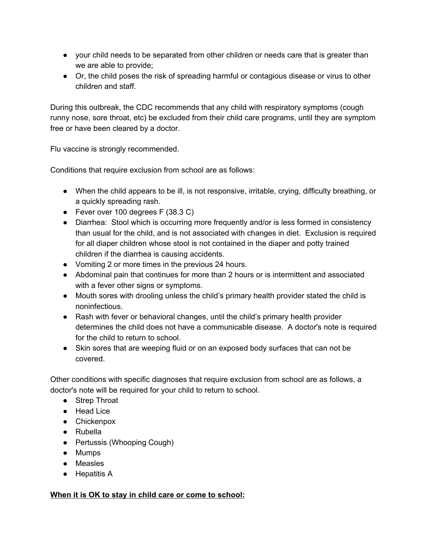- your child needs to be separated from other children or needs care that is greater than we are able to provide;
- Or, the child poses the risk of spreading harmful or contagious disease or virus to other children and staff.

During this outbreak, the CDC recommends that any child with respiratory symptoms (cough runny nose, sore throat, etc) be excluded from their child care programs, until they are symptom free or have been cleared by a doctor.

Flu vaccine is strongly recommended.

Conditions that require exclusion from school are as follows:

- When the child appears to be ill, is not responsive, irritable, crying, difficulty breathing, or a quickly spreading rash.
- Fever over 100 degrees F (38.3 C)
- Diarrhea: Stool which is occurring more frequently and/or is less formed in consistency than usual for the child, and is not associated with changes in diet. Exclusion is required for all diaper children whose stool is not contained in the diaper and potty trained children if the diarrhea is causing accidents.
- Vomiting 2 or more times in the previous 24 hours.
- Abdominal pain that continues for more than 2 hours or is intermittent and associated with a fever other signs or symptoms.
- Mouth sores with drooling unless the child's primary health provider stated the child is noninfectious.
- Rash with fever or behavioral changes, until the child's primary health provider determines the child does not have a communicable disease. A doctor's note is required for the child to return to school.
- Skin sores that are weeping fluid or on an exposed body surfaces that can not be covered.

Other conditions with specific diagnoses that require exclusion from school are as follows, a doctor's note will be required for your child to return to school.

- Strep Throat
- Head Lice
- Chickenpox
- Rubella
- Pertussis (Whooping Cough)
- Mumps
- Measles
- Hepatitis A

## **When it is OK to stay in child care or come to school:**